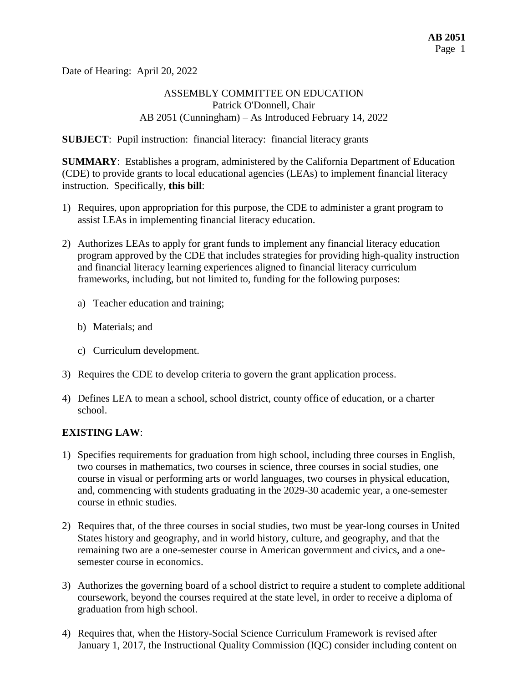Date of Hearing: April 20, 2022

## ASSEMBLY COMMITTEE ON EDUCATION Patrick O'Donnell, Chair AB 2051 (Cunningham) – As Introduced February 14, 2022

**SUBJECT**: Pupil instruction: financial literacy: financial literacy grants

**SUMMARY**: Establishes a program, administered by the California Department of Education (CDE) to provide grants to local educational agencies (LEAs) to implement financial literacy instruction. Specifically, **this bill**:

- 1) Requires, upon appropriation for this purpose, the CDE to administer a grant program to assist LEAs in implementing financial literacy education.
- 2) Authorizes LEAs to apply for grant funds to implement any financial literacy education program approved by the CDE that includes strategies for providing high-quality instruction and financial literacy learning experiences aligned to financial literacy curriculum frameworks, including, but not limited to, funding for the following purposes:
	- a) Teacher education and training;
	- b) Materials; and
	- c) Curriculum development.
- 3) Requires the CDE to develop criteria to govern the grant application process.
- 4) Defines LEA to mean a school, school district, county office of education, or a charter school.

#### **EXISTING LAW**:

- 1) Specifies requirements for graduation from high school, including three courses in English, two courses in mathematics, two courses in science, three courses in social studies, one course in visual or performing arts or world languages, two courses in physical education, and, commencing with students graduating in the 2029-30 academic year, a one-semester course in ethnic studies.
- 2) Requires that, of the three courses in social studies, two must be year-long courses in United States history and geography, and in world history, culture, and geography, and that the remaining two are a one-semester course in American government and civics, and a onesemester course in economics.
- 3) Authorizes the governing board of a school district to require a student to complete additional coursework, beyond the courses required at the state level, in order to receive a diploma of graduation from high school.
- 4) Requires that, when the History-Social Science Curriculum Framework is revised after January 1, 2017, the Instructional Quality Commission (IQC) consider including content on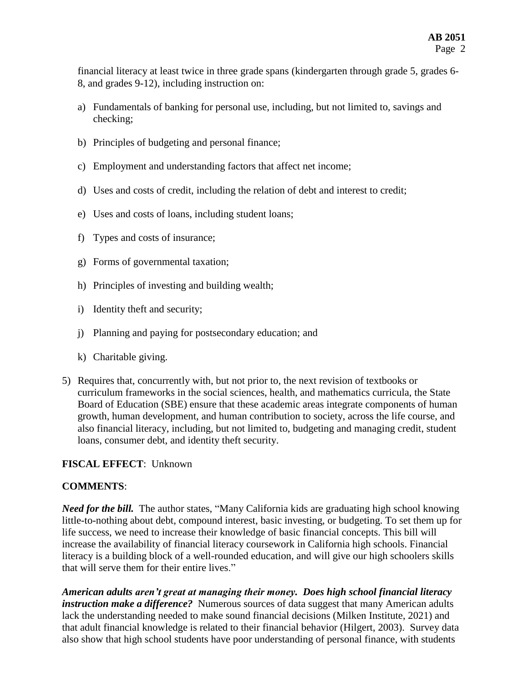financial literacy at least twice in three grade spans (kindergarten through grade 5, grades 6- 8, and grades 9-12), including instruction on:

- a) Fundamentals of banking for personal use, including, but not limited to, savings and checking;
- b) Principles of budgeting and personal finance;
- c) Employment and understanding factors that affect net income;
- d) Uses and costs of credit, including the relation of debt and interest to credit;
- e) Uses and costs of loans, including student loans;
- f) Types and costs of insurance;
- g) Forms of governmental taxation;
- h) Principles of investing and building wealth;
- i) Identity theft and security;
- j) Planning and paying for postsecondary education; and
- k) Charitable giving.
- 5) Requires that, concurrently with, but not prior to, the next revision of textbooks or curriculum frameworks in the social sciences, health, and mathematics curricula, the State Board of Education (SBE) ensure that these academic areas integrate components of human growth, human development, and human contribution to society, across the life course, and also financial literacy, including, but not limited to, budgeting and managing credit, student loans, consumer debt, and identity theft security.

## **FISCAL EFFECT**: Unknown

#### **COMMENTS**:

*Need for the bill.* The author states, "Many California kids are graduating high school knowing little-to-nothing about debt, compound interest, basic investing, or budgeting. To set them up for life success, we need to increase their knowledge of basic financial concepts. This bill will increase the availability of financial literacy coursework in California high schools. Financial literacy is a building block of a well-rounded education, and will give our high schoolers skills that will serve them for their entire lives."

*American adults aren't great at managing their money. Does high school financial literacy instruction make a difference?* Numerous sources of data suggest that many American adults lack the understanding needed to make sound financial decisions (Milken Institute, 2021) and that adult financial knowledge is related to their financial behavior (Hilgert, 2003). Survey data also show that high school students have poor understanding of personal finance, with students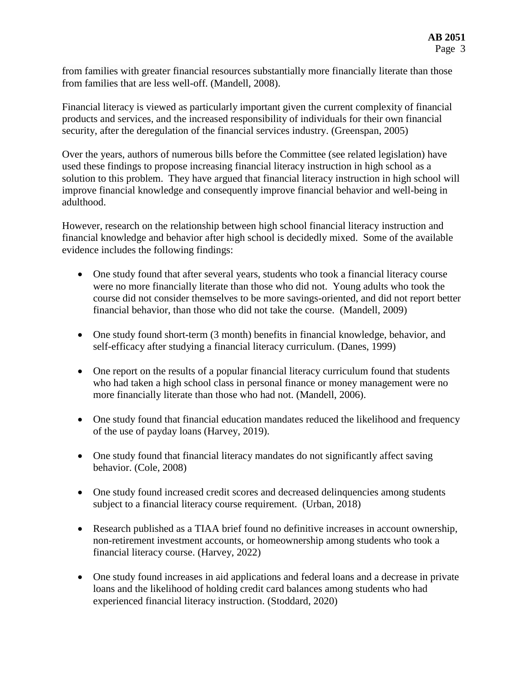from families with greater financial resources substantially more financially literate than those from families that are less well-off. (Mandell, 2008).

Financial literacy is viewed as particularly important given the current complexity of financial products and services, and the increased responsibility of individuals for their own financial security, after the deregulation of the financial services industry. (Greenspan, 2005)

Over the years, authors of numerous bills before the Committee (see related legislation) have used these findings to propose increasing financial literacy instruction in high school as a solution to this problem. They have argued that financial literacy instruction in high school will improve financial knowledge and consequently improve financial behavior and well-being in adulthood.

However, research on the relationship between high school financial literacy instruction and financial knowledge and behavior after high school is decidedly mixed. Some of the available evidence includes the following findings:

- One study found that after several years, students who took a financial literacy course were no more financially literate than those who did not. Young adults who took the course did not consider themselves to be more savings-oriented, and did not report better financial behavior, than those who did not take the course. (Mandell, 2009)
- One study found short-term (3 month) benefits in financial knowledge, behavior, and self-efficacy after studying a financial literacy curriculum. (Danes, 1999)
- One report on the results of a popular financial literacy curriculum found that students who had taken a high school class in personal finance or money management were no more financially literate than those who had not. (Mandell, 2006).
- One study found that financial education mandates reduced the likelihood and frequency of the use of payday loans (Harvey, 2019).
- One study found that financial literacy mandates do not significantly affect saving behavior. (Cole, 2008)
- One study found increased credit scores and decreased delinquencies among students subject to a financial literacy course requirement. (Urban, 2018)
- Research published as a TIAA brief found no definitive increases in account ownership, non-retirement investment accounts, or homeownership among students who took a financial literacy course. (Harvey, 2022)
- One study found increases in aid applications and federal loans and a decrease in private loans and the likelihood of holding credit card balances among students who had experienced financial literacy instruction. (Stoddard, 2020)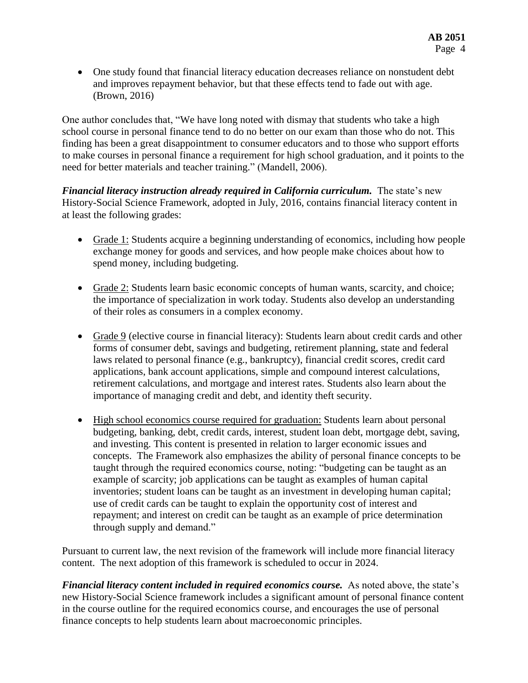• One study found that financial literacy education decreases reliance on nonstudent debt and improves repayment behavior, but that these effects tend to fade out with age. (Brown, 2016)

One author concludes that, "We have long noted with dismay that students who take a high school course in personal finance tend to do no better on our exam than those who do not. This finding has been a great disappointment to consumer educators and to those who support efforts to make courses in personal finance a requirement for high school graduation, and it points to the need for better materials and teacher training." (Mandell, 2006).

*Financial literacy instruction already required in California curriculum.* The state's new History-Social Science Framework, adopted in July, 2016, contains financial literacy content in at least the following grades:

- Grade 1: Students acquire a beginning understanding of economics, including how people exchange money for goods and services, and how people make choices about how to spend money, including budgeting.
- Grade 2: Students learn basic economic concepts of human wants, scarcity, and choice; the importance of specialization in work today. Students also develop an understanding of their roles as consumers in a complex economy.
- Grade 9 (elective course in financial literacy): Students learn about credit cards and other forms of consumer debt, savings and budgeting, retirement planning, state and federal laws related to personal finance (e.g., bankruptcy), financial credit scores, credit card applications, bank account applications, simple and compound interest calculations, retirement calculations, and mortgage and interest rates. Students also learn about the importance of managing credit and debt, and identity theft security.
- High school economics course required for graduation: Students learn about personal budgeting, banking, debt, credit cards, interest, student loan debt, mortgage debt, saving, and investing. This content is presented in relation to larger economic issues and concepts. The Framework also emphasizes the ability of personal finance concepts to be taught through the required economics course, noting: "budgeting can be taught as an example of scarcity; job applications can be taught as examples of human capital inventories; student loans can be taught as an investment in developing human capital; use of credit cards can be taught to explain the opportunity cost of interest and repayment; and interest on credit can be taught as an example of price determination through supply and demand."

Pursuant to current law, the next revision of the framework will include more financial literacy content. The next adoption of this framework is scheduled to occur in 2024.

*Financial literacy content included in required economics course.* As noted above, the state's new History-Social Science framework includes a significant amount of personal finance content in the course outline for the required economics course, and encourages the use of personal finance concepts to help students learn about macroeconomic principles.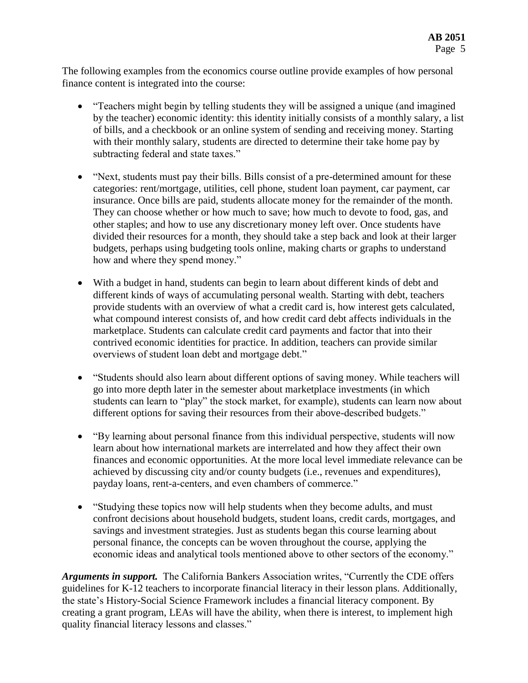The following examples from the economics course outline provide examples of how personal finance content is integrated into the course:

- "Teachers might begin by telling students they will be assigned a unique (and imagined by the teacher) economic identity: this identity initially consists of a monthly salary, a list of bills, and a checkbook or an online system of sending and receiving money. Starting with their monthly salary, students are directed to determine their take home pay by subtracting federal and state taxes."
- "Next, students must pay their bills. Bills consist of a pre-determined amount for these categories: rent/mortgage, utilities, cell phone, student loan payment, car payment, car insurance. Once bills are paid, students allocate money for the remainder of the month. They can choose whether or how much to save; how much to devote to food, gas, and other staples; and how to use any discretionary money left over. Once students have divided their resources for a month, they should take a step back and look at their larger budgets, perhaps using budgeting tools online, making charts or graphs to understand how and where they spend money."
- With a budget in hand, students can begin to learn about different kinds of debt and different kinds of ways of accumulating personal wealth. Starting with debt, teachers provide students with an overview of what a credit card is, how interest gets calculated, what compound interest consists of, and how credit card debt affects individuals in the marketplace. Students can calculate credit card payments and factor that into their contrived economic identities for practice. In addition, teachers can provide similar overviews of student loan debt and mortgage debt."
- "Students should also learn about different options of saving money. While teachers will go into more depth later in the semester about marketplace investments (in which students can learn to "play" the stock market, for example), students can learn now about different options for saving their resources from their above-described budgets."
- "By learning about personal finance from this individual perspective, students will now learn about how international markets are interrelated and how they affect their own finances and economic opportunities. At the more local level immediate relevance can be achieved by discussing city and/or county budgets (i.e., revenues and expenditures), payday loans, rent-a-centers, and even chambers of commerce."
- "Studying these topics now will help students when they become adults, and must confront decisions about household budgets, student loans, credit cards, mortgages, and savings and investment strategies. Just as students began this course learning about personal finance, the concepts can be woven throughout the course, applying the economic ideas and analytical tools mentioned above to other sectors of the economy."

*Arguments in support.* The California Bankers Association writes, "Currently the CDE offers guidelines for K-12 teachers to incorporate financial literacy in their lesson plans. Additionally, the state's History-Social Science Framework includes a financial literacy component. By creating a grant program, LEAs will have the ability, when there is interest, to implement high quality financial literacy lessons and classes."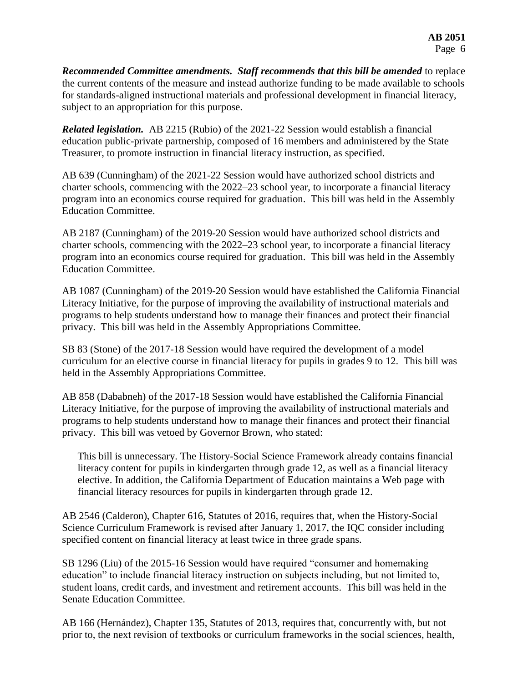**Recommended Committee amendments. Staff recommends that this bill be amended to replace** the current contents of the measure and instead authorize funding to be made available to schools for standards-aligned instructional materials and professional development in financial literacy, subject to an appropriation for this purpose.

*Related legislation.* AB 2215 (Rubio) of the 2021-22 Session would establish a financial education public-private partnership, composed of 16 members and administered by the State Treasurer, to promote instruction in financial literacy instruction, as specified.

AB 639 (Cunningham) of the 2021-22 Session would have authorized school districts and charter schools, commencing with the 2022–23 school year, to incorporate a financial literacy program into an economics course required for graduation. This bill was held in the Assembly Education Committee.

AB 2187 (Cunningham) of the 2019-20 Session would have authorized school districts and charter schools, commencing with the 2022–23 school year, to incorporate a financial literacy program into an economics course required for graduation. This bill was held in the Assembly Education Committee.

AB 1087 (Cunningham) of the 2019-20 Session would have established the California Financial Literacy Initiative, for the purpose of improving the availability of instructional materials and programs to help students understand how to manage their finances and protect their financial privacy. This bill was held in the Assembly Appropriations Committee.

SB 83 (Stone) of the 2017-18 Session would have required the development of a model curriculum for an elective course in financial literacy for pupils in grades 9 to 12. This bill was held in the Assembly Appropriations Committee.

AB 858 (Dababneh) of the 2017-18 Session would have established the California Financial Literacy Initiative, for the purpose of improving the availability of instructional materials and programs to help students understand how to manage their finances and protect their financial privacy. This bill was vetoed by Governor Brown, who stated:

This bill is unnecessary. The History-Social Science Framework already contains financial literacy content for pupils in kindergarten through grade 12, as well as a financial literacy elective. In addition, the California Department of Education maintains a Web page with financial literacy resources for pupils in kindergarten through grade 12.

AB 2546 (Calderon), Chapter 616, Statutes of 2016, requires that, when the History-Social Science Curriculum Framework is revised after January 1, 2017, the IQC consider including specified content on financial literacy at least twice in three grade spans.

SB 1296 (Liu) of the 2015-16 Session would have required "consumer and homemaking education" to include financial literacy instruction on subjects including, but not limited to, student loans, credit cards, and investment and retirement accounts. This bill was held in the Senate Education Committee.

AB 166 (Hernández), Chapter 135, Statutes of 2013, requires that, concurrently with, but not prior to, the next revision of textbooks or curriculum frameworks in the social sciences, health,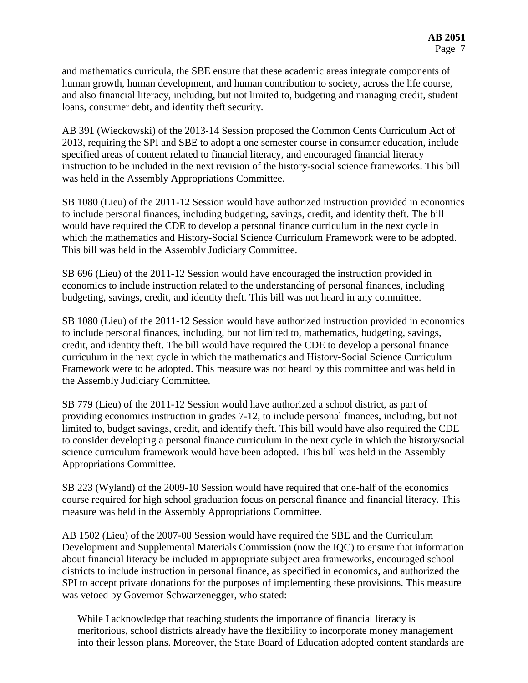and mathematics curricula, the SBE ensure that these academic areas integrate components of human growth, human development, and human contribution to society, across the life course, and also financial literacy, including, but not limited to, budgeting and managing credit, student loans, consumer debt, and identity theft security.

AB 391 (Wieckowski) of the 2013-14 Session proposed the Common Cents Curriculum Act of 2013, requiring the SPI and SBE to adopt a one semester course in consumer education, include specified areas of content related to financial literacy, and encouraged financial literacy instruction to be included in the next revision of the history-social science frameworks. This bill was held in the Assembly Appropriations Committee.

SB 1080 (Lieu) of the 2011-12 Session would have authorized instruction provided in economics to include personal finances, including budgeting, savings, credit, and identity theft. The bill would have required the CDE to develop a personal finance curriculum in the next cycle in which the mathematics and History-Social Science Curriculum Framework were to be adopted. This bill was held in the Assembly Judiciary Committee.

SB 696 (Lieu) of the 2011-12 Session would have encouraged the instruction provided in economics to include instruction related to the understanding of personal finances, including budgeting, savings, credit, and identity theft. This bill was not heard in any committee.

SB 1080 (Lieu) of the 2011-12 Session would have authorized instruction provided in economics to include personal finances, including, but not limited to, mathematics, budgeting, savings, credit, and identity theft. The bill would have required the CDE to develop a personal finance curriculum in the next cycle in which the mathematics and History-Social Science Curriculum Framework were to be adopted. This measure was not heard by this committee and was held in the Assembly Judiciary Committee.

SB 779 (Lieu) of the 2011-12 Session would have authorized a school district, as part of providing economics instruction in grades 7-12, to include personal finances, including, but not limited to, budget savings, credit, and identify theft. This bill would have also required the CDE to consider developing a personal finance curriculum in the next cycle in which the history/social science curriculum framework would have been adopted. This bill was held in the Assembly Appropriations Committee.

SB 223 (Wyland) of the 2009-10 Session would have required that one-half of the economics course required for high school graduation focus on personal finance and financial literacy. This measure was held in the Assembly Appropriations Committee.

AB 1502 (Lieu) of the 2007-08 Session would have required the SBE and the Curriculum Development and Supplemental Materials Commission (now the IQC) to ensure that information about financial literacy be included in appropriate subject area frameworks, encouraged school districts to include instruction in personal finance, as specified in economics, and authorized the SPI to accept private donations for the purposes of implementing these provisions. This measure was vetoed by Governor Schwarzenegger, who stated:

While I acknowledge that teaching students the importance of financial literacy is meritorious, school districts already have the flexibility to incorporate money management into their lesson plans. Moreover, the State Board of Education adopted content standards are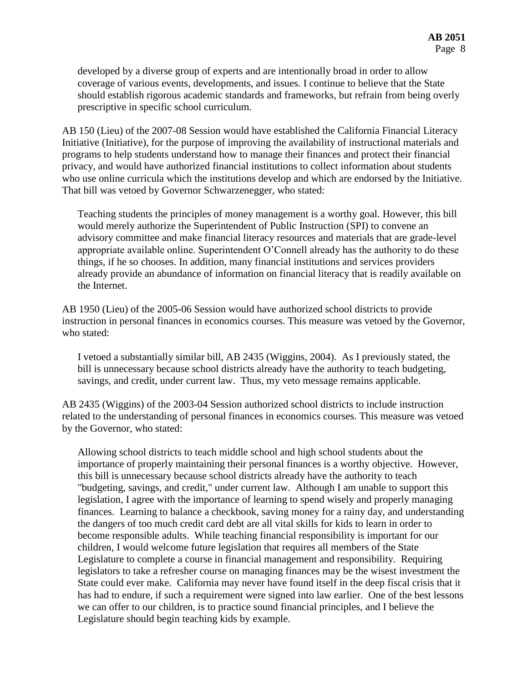developed by a diverse group of experts and are intentionally broad in order to allow coverage of various events, developments, and issues. I continue to believe that the State should establish rigorous academic standards and frameworks, but refrain from being overly prescriptive in specific school curriculum.

AB 150 (Lieu) of the 2007-08 Session would have established the California Financial Literacy Initiative (Initiative), for the purpose of improving the availability of instructional materials and programs to help students understand how to manage their finances and protect their financial privacy, and would have authorized financial institutions to collect information about students who use online curricula which the institutions develop and which are endorsed by the Initiative. That bill was vetoed by Governor Schwarzenegger, who stated:

Teaching students the principles of money management is a worthy goal. However, this bill would merely authorize the Superintendent of Public Instruction (SPI) to convene an advisory committee and make financial literacy resources and materials that are grade-level appropriate available online. Superintendent O'Connell already has the authority to do these things, if he so chooses. In addition, many financial institutions and services providers already provide an abundance of information on financial literacy that is readily available on the Internet.

AB 1950 (Lieu) of the 2005-06 Session would have authorized school districts to provide instruction in personal finances in economics courses. This measure was vetoed by the Governor, who stated:

I vetoed a substantially similar bill, AB 2435 (Wiggins, 2004). As I previously stated, the bill is unnecessary because school districts already have the authority to teach budgeting, savings, and credit, under current law. Thus, my veto message remains applicable.

AB 2435 (Wiggins) of the 2003-04 Session authorized school districts to include instruction related to the understanding of personal finances in economics courses. This measure was vetoed by the Governor, who stated:

Allowing school districts to teach middle school and high school students about the importance of properly maintaining their personal finances is a worthy objective. However, this bill is unnecessary because school districts already have the authority to teach "budgeting, savings, and credit," under current law. Although I am unable to support this legislation, I agree with the importance of learning to spend wisely and properly managing finances. Learning to balance a checkbook, saving money for a rainy day, and understanding the dangers of too much credit card debt are all vital skills for kids to learn in order to become responsible adults. While teaching financial responsibility is important for our children, I would welcome future legislation that requires all members of the State Legislature to complete a course in financial management and responsibility. Requiring legislators to take a refresher course on managing finances may be the wisest investment the State could ever make. California may never have found itself in the deep fiscal crisis that it has had to endure, if such a requirement were signed into law earlier. One of the best lessons we can offer to our children, is to practice sound financial principles, and I believe the Legislature should begin teaching kids by example.